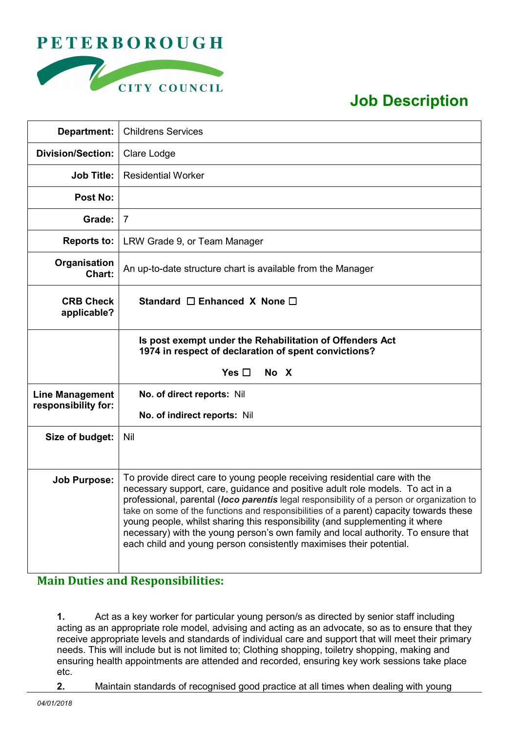



## **Job Description**

| Department:                                   | <b>Childrens Services</b>                                                                                                                                                                                                                                                                                                                                                                                                                                                                                                                                                                      |
|-----------------------------------------------|------------------------------------------------------------------------------------------------------------------------------------------------------------------------------------------------------------------------------------------------------------------------------------------------------------------------------------------------------------------------------------------------------------------------------------------------------------------------------------------------------------------------------------------------------------------------------------------------|
| <b>Division/Section:</b>                      | Clare Lodge                                                                                                                                                                                                                                                                                                                                                                                                                                                                                                                                                                                    |
| <b>Job Title:</b>                             | <b>Residential Worker</b>                                                                                                                                                                                                                                                                                                                                                                                                                                                                                                                                                                      |
| Post No:                                      |                                                                                                                                                                                                                                                                                                                                                                                                                                                                                                                                                                                                |
| Grade:                                        | $\overline{7}$                                                                                                                                                                                                                                                                                                                                                                                                                                                                                                                                                                                 |
| <b>Reports to:</b>                            | LRW Grade 9, or Team Manager                                                                                                                                                                                                                                                                                                                                                                                                                                                                                                                                                                   |
| Organisation<br>Chart:                        | An up-to-date structure chart is available from the Manager                                                                                                                                                                                                                                                                                                                                                                                                                                                                                                                                    |
| <b>CRB Check</b><br>applicable?               | Standard $\Box$ Enhanced X None $\Box$                                                                                                                                                                                                                                                                                                                                                                                                                                                                                                                                                         |
|                                               | Is post exempt under the Rehabilitation of Offenders Act<br>1974 in respect of declaration of spent convictions?<br>Yes $\square$<br>No X                                                                                                                                                                                                                                                                                                                                                                                                                                                      |
|                                               |                                                                                                                                                                                                                                                                                                                                                                                                                                                                                                                                                                                                |
| <b>Line Management</b><br>responsibility for: | No. of direct reports: Nil                                                                                                                                                                                                                                                                                                                                                                                                                                                                                                                                                                     |
|                                               | No. of indirect reports: Nil                                                                                                                                                                                                                                                                                                                                                                                                                                                                                                                                                                   |
| Size of budget:                               | Nil                                                                                                                                                                                                                                                                                                                                                                                                                                                                                                                                                                                            |
|                                               |                                                                                                                                                                                                                                                                                                                                                                                                                                                                                                                                                                                                |
| <b>Job Purpose:</b>                           | To provide direct care to young people receiving residential care with the<br>necessary support, care, guidance and positive adult role models. To act in a<br>professional, parental (loco parentis legal responsibility of a person or organization to<br>take on some of the functions and responsibilities of a parent) capacity towards these<br>young people, whilst sharing this responsibility (and supplementing it where<br>necessary) with the young person's own family and local authority. To ensure that<br>each child and young person consistently maximises their potential. |

## **Main Duties and Responsibilities:**

**1.** Act as a key worker for particular young person/s as directed by senior staff including acting as an appropriate role model, advising and acting as an advocate, so as to ensure that they receive appropriate levels and standards of individual care and support that will meet their primary needs. This will include but is not limited to; Clothing shopping, toiletry shopping, making and ensuring health appointments are attended and recorded, ensuring key work sessions take place etc.

**2.** Maintain standards of recognised good practice at all times when dealing with young